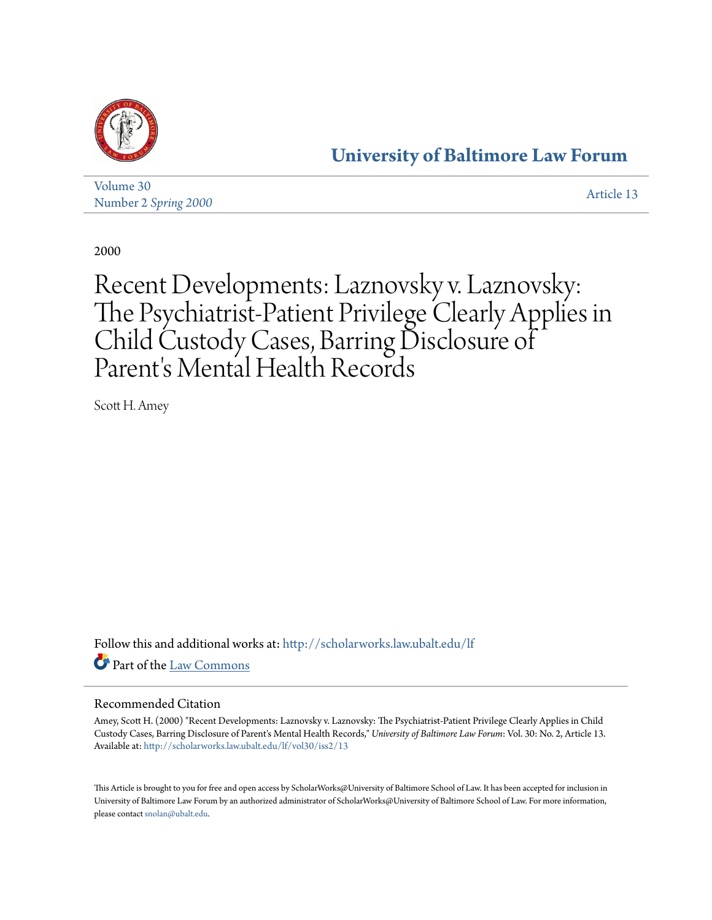

## **[University of Baltimore Law Forum](http://scholarworks.law.ubalt.edu/lf?utm_source=scholarworks.law.ubalt.edu%2Flf%2Fvol30%2Fiss2%2F13&utm_medium=PDF&utm_campaign=PDFCoverPages)**

[Volume 30](http://scholarworks.law.ubalt.edu/lf/vol30?utm_source=scholarworks.law.ubalt.edu%2Flf%2Fvol30%2Fiss2%2F13&utm_medium=PDF&utm_campaign=PDFCoverPages) Number 2 *[Spring 2000](http://scholarworks.law.ubalt.edu/lf/vol30/iss2?utm_source=scholarworks.law.ubalt.edu%2Flf%2Fvol30%2Fiss2%2F13&utm_medium=PDF&utm_campaign=PDFCoverPages)* [Article 13](http://scholarworks.law.ubalt.edu/lf/vol30/iss2/13?utm_source=scholarworks.law.ubalt.edu%2Flf%2Fvol30%2Fiss2%2F13&utm_medium=PDF&utm_campaign=PDFCoverPages)

2000

## Recent Developments: Laznovsky v. Laznovsky: The Psychiatrist-Patient Privilege Clearly Applies in Child Custody Cases, Barring Disclosure of Parent's Mental Health Records

Scott H. Amey

Follow this and additional works at: [http://scholarworks.law.ubalt.edu/lf](http://scholarworks.law.ubalt.edu/lf?utm_source=scholarworks.law.ubalt.edu%2Flf%2Fvol30%2Fiss2%2F13&utm_medium=PDF&utm_campaign=PDFCoverPages) Part of the [Law Commons](http://network.bepress.com/hgg/discipline/578?utm_source=scholarworks.law.ubalt.edu%2Flf%2Fvol30%2Fiss2%2F13&utm_medium=PDF&utm_campaign=PDFCoverPages)

## Recommended Citation

Amey, Scott H. (2000) "Recent Developments: Laznovsky v. Laznovsky: The Psychiatrist-Patient Privilege Clearly Applies in Child Custody Cases, Barring Disclosure of Parent's Mental Health Records," *University of Baltimore Law Forum*: Vol. 30: No. 2, Article 13. Available at: [http://scholarworks.law.ubalt.edu/lf/vol30/iss2/13](http://scholarworks.law.ubalt.edu/lf/vol30/iss2/13?utm_source=scholarworks.law.ubalt.edu%2Flf%2Fvol30%2Fiss2%2F13&utm_medium=PDF&utm_campaign=PDFCoverPages)

This Article is brought to you for free and open access by ScholarWorks@University of Baltimore School of Law. It has been accepted for inclusion in University of Baltimore Law Forum by an authorized administrator of ScholarWorks@University of Baltimore School of Law. For more information, please contact [snolan@ubalt.edu.](mailto:snolan@ubalt.edu)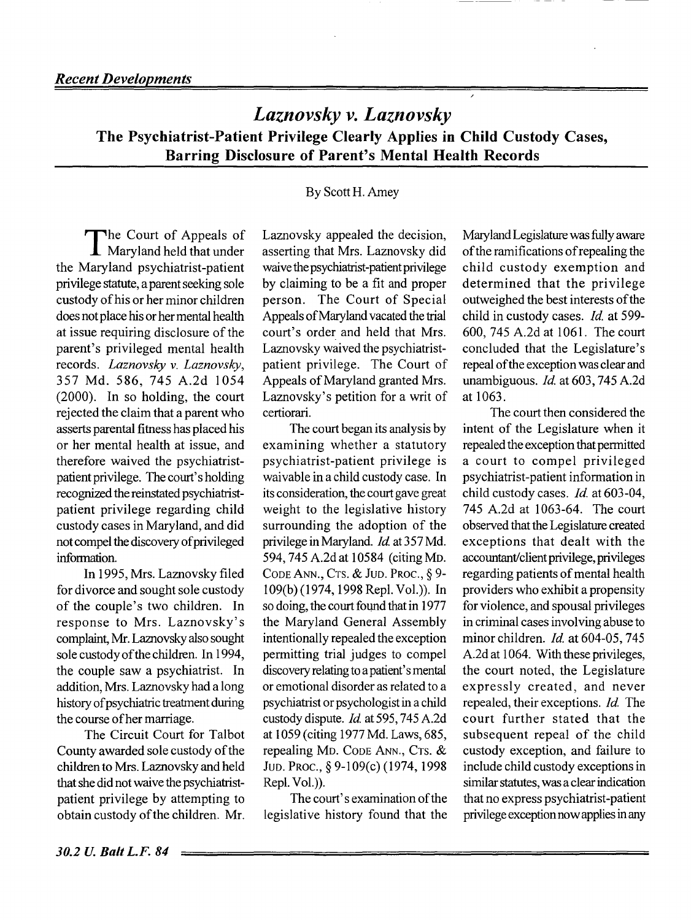*Laznovsky v. Laznovsky*  The Psychiatrist-Patient Privilege Clearly Applies in Child Custody Cases, Barring Disclosure of Parent's Mental Health Records

## By Scott H. Amey

The Court of Appeals of Maryland held that under the Maryland psychiatrist-patient privilege statute, a parent seeking sole custody of his or her minor children does not place his or her mental health at issue requiring disclosure of the parent's privileged mental health records. *Laznovsky* v. *Laznovsky,*  357 Md. 586, 745 A.2d 1054 (2000). In so holding, the court rejected the claim that a parent who asserts parental fitness has placed his or her mental health at issue, and therefore waived the psychiatristpatient privilege. The court's holding recognized the reinstated psychiatristpatient privilege regarding child custody cases in Maryland, and did not compel the discovery of privileged information.

In 1995, Mrs. Laznovsky filed for divorce and sought sole custody of the couple's two children. In response to Mrs. Laznovsky's complaint, Mr. Laznovsky also sought sole custody of the children. In 1994, the couple saw a psychiatrist. In addition, Mrs. Laznovsky had a long history of psychiatric treatment during the course of her marriage.

The Circuit Court for Talbot County awarded sole custody of the children to Mrs. Laznovsky and held that she did not waive the psychiatristpatient privilege by attempting to obtain custody of the children. Mr.

Laznovsky appealed the decision, asserting that Mrs. Laznovsky did waive the psychiatrist-patient privilege by claiming to be a fit and proper person. The Court of Special Appeals of Maryland vacated the trial court's order and held that Mrs. Laznovsky waived the psychiatristpatient privilege. The Court of Appeals of Maryland granted Mrs. Laznovsky's petition for a writ of certiorari.

The court began its analysis by examining whether a statutory psychiatrist-patient privilege is waivable in a child custody case. In its consideration, the court gave great weight to the legislative history surrounding the adoption of the privilege in Maryland. Id. at 357 Md. 594, 745A.2dat 10584 (citingMD. CODE ANN., CTS. & JUD. PROC., § 9- 109(b)(1974, 1998 Repl. Vol.)). In so doing, the court found that in 1977 the Maryland General Assembly intentionally repealed the exception permitting trial judges to compel discovery relating to a patient's mental or emotional disorder as related to a psychiatrist or psychologist in a child custody dispute. Id. at 595, 745 A.2d at 1 059 (citing 1977 Md. Laws, 685, repealing MD. CODE ANN., CTS. & JUD. PROC., § 9-109(c) (1974,1998 Repl. Vol.)).

The court's examination of the legislative history found that the Maryland Legislature was fully aware of the ramifications of repealing the child custody exemption and determined that the privilege outweighed the best interests of the child in custody cases. *Id.* at 599-600, 745 A.2d at 1061. The court concluded that the Legislature's repeal of the exception was clear and unambiguous.  $Id$  at 603, 745 A.2d at 1063.

The court then considered the intent of the Legislature when it repealed the exception that permitted a court to compel privileged psychiatrist-patient information in child custody cases. Id. at 603-04, 745 A.2d at 1063-64. The court observed that the Legislature created exceptions that dealt with the accountant/client privilege, privileges regarding patients of mental health providers who exhibit a propensity for violence, and spousal privileges in criminal cases involving abuse to minor children. *Id.* at 604-05, 745 A.2d at 1064. With these privileges, the court noted, the Legislature expressly created, and never repealed, their exceptions. *Id.* The court further stated that the subsequent repeal of the child custody exception, and failure to include child custody exceptions in similar statutes, was a clear indication that no express psychiatrist-patient privilege exception now applies in any